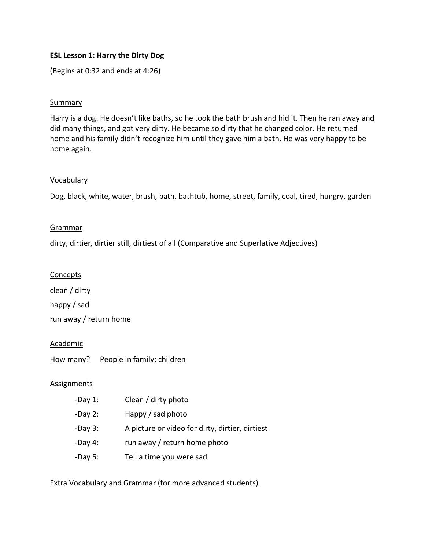# **ESL Lesson 1: Harry the Dirty Dog**

(Begins at 0:32 and ends at 4:26)

## Summary

Harry is a dog. He doesn't like baths, so he took the bath brush and hid it. Then he ran away and did many things, and got very dirty. He became so dirty that he changed color. He returned home and his family didn't recognize him until they gave him a bath. He was very happy to be home again.

### Vocabulary

Dog, black, white, water, brush, bath, bathtub, home, street, family, coal, tired, hungry, garden

### Grammar

dirty, dirtier, dirtier still, dirtiest of all (Comparative and Superlative Adjectives)

#### **Concepts**

clean / dirty happy / sad run away / return home

#### Academic

How many? People in family; children

#### Assignments

- -Day 1: Clean / dirty photo -Day 2: Happy / sad photo
- -Day 3: A picture or video for dirty, dirtier, dirtiest
- -Day 4: run away / return home photo
- -Day 5: Tell a time you were sad

## Extra Vocabulary and Grammar (for more advanced students)